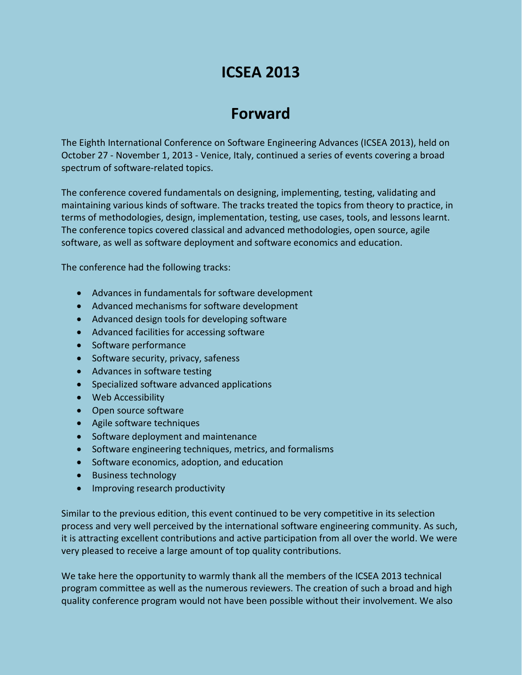# **ICSEA 2013**

# **Forward**

The Eighth International Conference on Software Engineering Advances (ICSEA 2013), held on October 27 - November 1, 2013 - Venice, Italy, continued a series of events covering a broad spectrum of software-related topics.

The conference covered fundamentals on designing, implementing, testing, validating and maintaining various kinds of software. The tracks treated the topics from theory to practice, in terms of methodologies, design, implementation, testing, use cases, tools, and lessons learnt. The conference topics covered classical and advanced methodologies, open source, agile software, as well as software deployment and software economics and education.

The conference had the following tracks:

- Advances in fundamentals for software development
- Advanced mechanisms for software development
- Advanced design tools for developing software
- Advanced facilities for accessing software
- Software performance
- Software security, privacy, safeness
- Advances in software testing
- Specialized software advanced applications
- Web Accessibility
- Open source software
- Agile software techniques
- Software deployment and maintenance
- Software engineering techniques, metrics, and formalisms
- Software economics, adoption, and education
- Business technology
- Improving research productivity

Similar to the previous edition, this event continued to be very competitive in its selection process and very well perceived by the international software engineering community. As such, it is attracting excellent contributions and active participation from all over the world. We were very pleased to receive a large amount of top quality contributions.

We take here the opportunity to warmly thank all the members of the ICSEA 2013 technical program committee as well as the numerous reviewers. The creation of such a broad and high quality conference program would not have been possible without their involvement. We also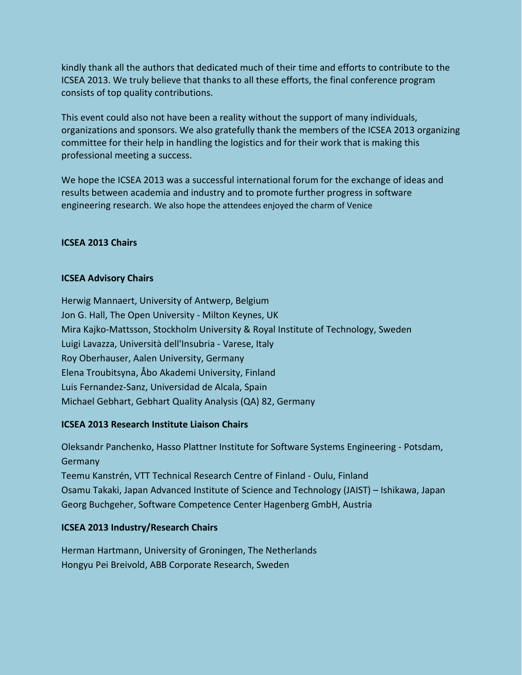kindly thank all the authors that dedicated much of their time and efforts to contribute to the ICSEA 2013. We truly believe that thanks to all these efforts, the final conference program consists of top quality contributions.

This event could also not have been a reality without the support of many individuals, organizations and sponsors. We also gratefully thank the members of the ICSEA 2013 organizing committee for their help in handling the logistics and for their work that is making this professional meeting a success.

We hope the ICSEA 2013 was a successful international forum for the exchange of ideas and results between academia and industry and to promote further progress in software engineering research. We also hope the attendees enjoyed the charm of Venice

## **ICSEA 2013 Chairs**

## **ICSEA Advisory Chairs**

Herwig Mannaert, University of Antwerp, Belgium Jon G. Hall, The Open University - Milton Keynes, UK Mira Kajko-Mattsson, Stockholm University & Royal Institute of Technology, Sweden Luigi Lavazza, Università dell'Insubria - Varese, Italy Roy Oberhauser, Aalen University, Germany Elena Troubitsyna, Åbo Akademi University, Finland Luis Fernandez-Sanz, Universidad de Alcala, Spain Michael Gebhart, Gebhart Quality Analysis (QA) 82, Germany

# **ICSEA 2013 Research Institute Liaison Chairs**

Oleksandr Panchenko, Hasso Plattner Institute for Software Systems Engineering - Potsdam, Germany Teemu Kanstrén, VTT Technical Research Centre of Finland - Oulu, Finland Osamu Takaki, Japan Advanced Institute of Science and Technology (JAIST) – Ishikawa, Japan Georg Buchgeher, Software Competence Center Hagenberg GmbH, Austria

# **ICSEA 2013 Industry/Research Chairs**

Herman Hartmann, University of Groningen, The Netherlands Hongyu Pei Breivold, ABB Corporate Research, Sweden